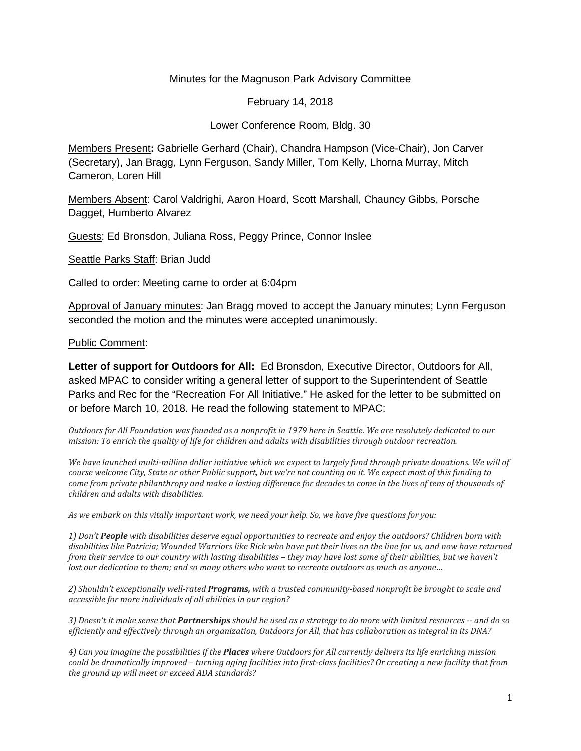### Minutes for the Magnuson Park Advisory Committee

February 14, 2018

Lower Conference Room, Bldg. 30

Members Present**:** Gabrielle Gerhard (Chair), Chandra Hampson (Vice-Chair), Jon Carver (Secretary), Jan Bragg, Lynn Ferguson, Sandy Miller, Tom Kelly, Lhorna Murray, Mitch Cameron, Loren Hill

Members Absent: Carol Valdrighi, Aaron Hoard, Scott Marshall, Chauncy Gibbs, Porsche Dagget, Humberto Alvarez

Guests: Ed Bronsdon, Juliana Ross, Peggy Prince, Connor Inslee

Seattle Parks Staff: Brian Judd

Called to order: Meeting came to order at 6:04pm

Approval of January minutes: Jan Bragg moved to accept the January minutes; Lynn Ferguson seconded the motion and the minutes were accepted unanimously.

#### Public Comment:

**Letter of support for Outdoors for All:** Ed Bronsdon, Executive Director, Outdoors for All, asked MPAC to consider writing a general letter of support to the Superintendent of Seattle Parks and Rec for the "Recreation For All Initiative." He asked for the letter to be submitted on or before March 10, 2018. He read the following statement to MPAC:

*Outdoors for All Foundation was founded as a nonprofit in 1979 here in Seattle. We are resolutely dedicated to our mission: To enrich the quality of life for children and adults with disabilities through outdoor recreation.*

*We have launched multi-million dollar initiative which we expect to largely fund through private donations. We will of course welcome City, State or other Public support, but we're not counting on it. We expect most of this funding to come from private philanthropy and make a lasting difference for decades to come in the lives of tens of thousands of children and adults with disabilities.*

*As we embark on this vitally important work, we need your help. So, we have five questions for you:*

*1) Don't People with disabilities deserve equal opportunities to recreate and enjoy the outdoors? Children born with disabilities like Patricia; Wounded Warriors like Rick who have put their lives on the line for us, and now have returned from their service to our country with lasting disabilities – they may have lost some of their abilities, but we haven't lost our dedication to them; and so many others who want to recreate outdoors as much as anyone…*

*2) Shouldn't exceptionally well-rated Programs, with a trusted community-based nonprofit be brought to scale and accessible for more individuals of all abilities in our region?*

*3) Doesn't it make sense that Partnerships should be used as a strategy to do more with limited resources -- and do so efficiently and effectively through an organization, Outdoors for All, that has collaboration as integral in its DNA?*

*4) Can you imagine the possibilities if the Places where Outdoors for All currently delivers its life enriching mission could be dramatically improved – turning aging facilities into first-class facilities? Or creating a new facility that from the ground up will meet or exceed ADA standards?*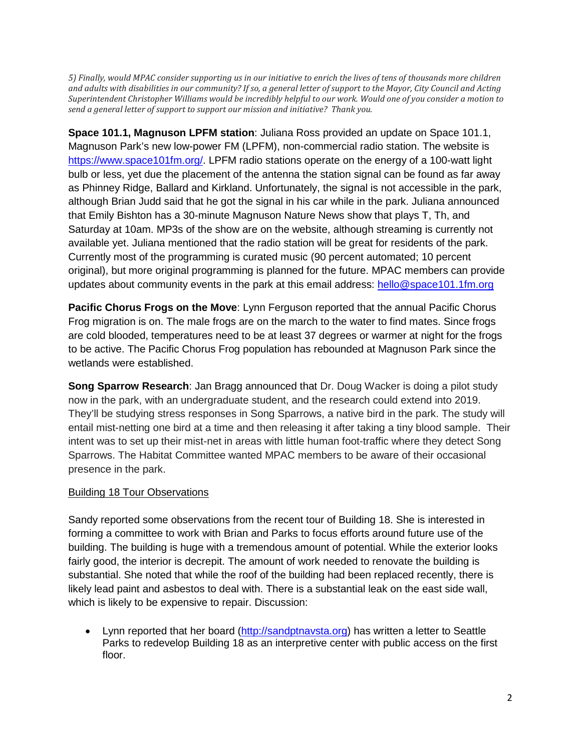*5) Finally, would MPAC consider supporting us in our initiative to enrich the lives of tens of thousands more children and adults with disabilities in our community? If so, a general letter of support to the Mayor, City Council and Acting Superintendent Christopher Williams would be incredibly helpful to our work. Would one of you consider a motion to send a general letter of support to support our mission and initiative? Thank you.* 

**Space 101.1, Magnuson LPFM station**: Juliana Ross provided an update on Space 101.1, Magnuson Park's new low-power FM (LPFM), non-commercial radio station. The website is [https://www.space101fm.org/.](https://www.space101fm.org/) LPFM radio stations operate on the energy of a 100-watt light bulb or less, yet due the placement of the antenna the station signal can be found as far away as Phinney Ridge, Ballard and Kirkland. Unfortunately, the signal is not accessible in the park, although Brian Judd said that he got the signal in his car while in the park. Juliana announced that Emily Bishton has a 30-minute Magnuson Nature News show that plays T, Th, and Saturday at 10am. MP3s of the show are on the website, although streaming is currently not available yet. Juliana mentioned that the radio station will be great for residents of the park. Currently most of the programming is curated music (90 percent automated; 10 percent original), but more original programming is planned for the future. MPAC members can provide updates about community events in the park at this email address: [hello@space101.1fm.org](mailto:hello@space101.1fm.org)

**Pacific Chorus Frogs on the Move**: Lynn Ferguson reported that the annual Pacific Chorus Frog migration is on. The male frogs are on the march to the water to find mates. Since frogs are cold blooded, temperatures need to be at least 37 degrees or warmer at night for the frogs to be active. The Pacific Chorus Frog population has rebounded at Magnuson Park since the wetlands were established.

**Song Sparrow Research**: Jan Bragg announced that Dr. Doug Wacker is doing a pilot study now in the park, with an undergraduate student, and the research could extend into 2019. They'll be studying stress responses in Song Sparrows, a native bird in the park. The study will entail mist-netting one bird at a time and then releasing it after taking a tiny blood sample. Their intent was to set up their mist-net in areas with little human foot-traffic where they detect Song Sparrows. The Habitat Committee wanted MPAC members to be aware of their occasional presence in the park.

#### Building 18 Tour Observations

Sandy reported some observations from the recent tour of Building 18. She is interested in forming a committee to work with Brian and Parks to focus efforts around future use of the building. The building is huge with a tremendous amount of potential. While the exterior looks fairly good, the interior is decrepit. The amount of work needed to renovate the building is substantial. She noted that while the roof of the building had been replaced recently, there is likely lead paint and asbestos to deal with. There is a substantial leak on the east side wall, which is likely to be expensive to repair. Discussion:

• Lynn reported that her board [\(http://sandptnavsta.org\)](http://sandptnavsta.org/) has written a letter to Seattle Parks to redevelop Building 18 as an interpretive center with public access on the first floor.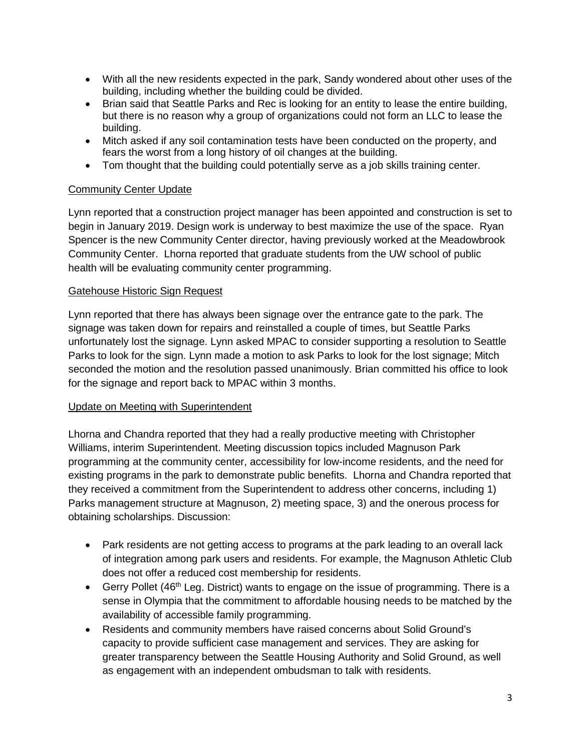- With all the new residents expected in the park, Sandy wondered about other uses of the building, including whether the building could be divided.
- Brian said that Seattle Parks and Rec is looking for an entity to lease the entire building, but there is no reason why a group of organizations could not form an LLC to lease the building.
- Mitch asked if any soil contamination tests have been conducted on the property, and fears the worst from a long history of oil changes at the building.
- Tom thought that the building could potentially serve as a job skills training center.

## Community Center Update

Lynn reported that a construction project manager has been appointed and construction is set to begin in January 2019. Design work is underway to best maximize the use of the space. Ryan Spencer is the new Community Center director, having previously worked at the Meadowbrook Community Center. Lhorna reported that graduate students from the UW school of public health will be evaluating community center programming.

## Gatehouse Historic Sign Request

Lynn reported that there has always been signage over the entrance gate to the park. The signage was taken down for repairs and reinstalled a couple of times, but Seattle Parks unfortunately lost the signage. Lynn asked MPAC to consider supporting a resolution to Seattle Parks to look for the sign. Lynn made a motion to ask Parks to look for the lost signage; Mitch seconded the motion and the resolution passed unanimously. Brian committed his office to look for the signage and report back to MPAC within 3 months.

# Update on Meeting with Superintendent

Lhorna and Chandra reported that they had a really productive meeting with Christopher Williams, interim Superintendent. Meeting discussion topics included Magnuson Park programming at the community center, accessibility for low-income residents, and the need for existing programs in the park to demonstrate public benefits. Lhorna and Chandra reported that they received a commitment from the Superintendent to address other concerns, including 1) Parks management structure at Magnuson, 2) meeting space, 3) and the onerous process for obtaining scholarships. Discussion:

- Park residents are not getting access to programs at the park leading to an overall lack of integration among park users and residents. For example, the Magnuson Athletic Club does not offer a reduced cost membership for residents.
- Gerry Pollet (46<sup>th</sup> Leg. District) wants to engage on the issue of programming. There is a sense in Olympia that the commitment to affordable housing needs to be matched by the availability of accessible family programming.
- Residents and community members have raised concerns about Solid Ground's capacity to provide sufficient case management and services. They are asking for greater transparency between the Seattle Housing Authority and Solid Ground, as well as engagement with an independent ombudsman to talk with residents.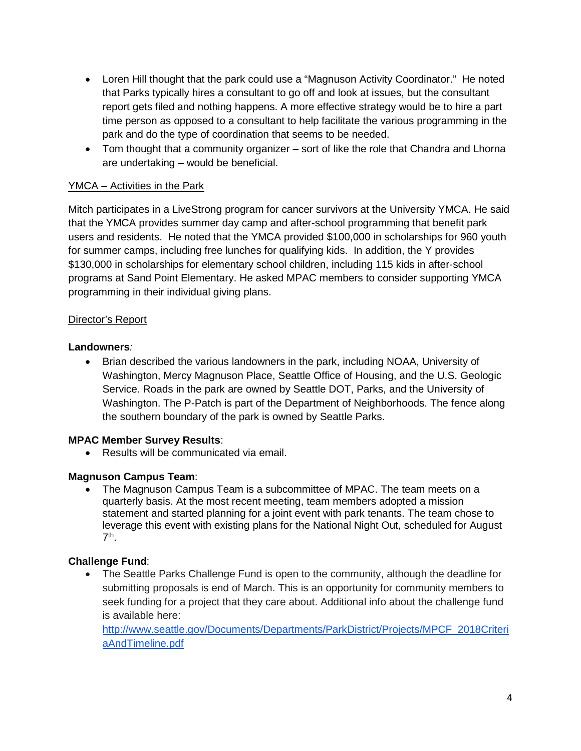- Loren Hill thought that the park could use a "Magnuson Activity Coordinator." He noted that Parks typically hires a consultant to go off and look at issues, but the consultant report gets filed and nothing happens. A more effective strategy would be to hire a part time person as opposed to a consultant to help facilitate the various programming in the park and do the type of coordination that seems to be needed.
- Tom thought that a community organizer sort of like the role that Chandra and Lhorna are undertaking – would be beneficial.

## YMCA – Activities in the Park

Mitch participates in a LiveStrong program for cancer survivors at the University YMCA. He said that the YMCA provides summer day camp and after-school programming that benefit park users and residents. He noted that the YMCA provided \$100,000 in scholarships for 960 youth for summer camps, including free lunches for qualifying kids. In addition, the Y provides \$130,000 in scholarships for elementary school children, including 115 kids in after-school programs at Sand Point Elementary. He asked MPAC members to consider supporting YMCA programming in their individual giving plans.

## Director's Report

## **Landowners***:*

• Brian described the various landowners in the park, including NOAA, University of Washington, Mercy Magnuson Place, Seattle Office of Housing, and the U.S. Geologic Service. Roads in the park are owned by Seattle DOT, Parks, and the University of Washington. The P-Patch is part of the Department of Neighborhoods. The fence along the southern boundary of the park is owned by Seattle Parks.

## **MPAC Member Survey Results**:

• Results will be communicated via email.

# **Magnuson Campus Team**:

• The Magnuson Campus Team is a subcommittee of MPAC. The team meets on a quarterly basis. At the most recent meeting, team members adopted a mission statement and started planning for a joint event with park tenants. The team chose to leverage this event with existing plans for the National Night Out, scheduled for August  $7<sup>th</sup>$ .

# **Challenge Fund**:

• The Seattle Parks Challenge Fund is open to the community, although the deadline for submitting proposals is end of March. This is an opportunity for community members to seek funding for a project that they care about. Additional info about the challenge fund is available here:

[http://www.seattle.gov/Documents/Departments/ParkDistrict/Projects/MPCF\\_2018Criteri](http://www.seattle.gov/Documents/Departments/ParkDistrict/Projects/MPCF_2018CriteriaAndTimeline.pdf) [aAndTimeline.pdf](http://www.seattle.gov/Documents/Departments/ParkDistrict/Projects/MPCF_2018CriteriaAndTimeline.pdf)